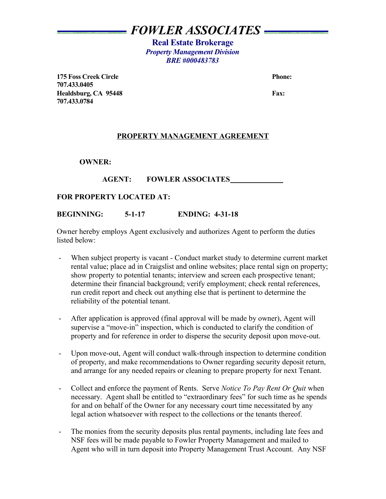# *FOWLER ASSOCIATES*

**Real Estate Brokerage** *Property Management Division BRE #000483783*

**175 Foss Creek Circle 2008 Phone: Phone: Phone: Phone: Phone: Phone: Phone: Phone: Phone: Phone: Phone: Phone: Phone: Phone: Phone: Phone: Phone: Phone: Phone: Phone: Phone: Pho 707.433.0405** Healdsburg, CA 95448 Fax: **707.433.0784**

### **PROPERTY MANAGEMENT AGREEMENT**

**OWNER:** 

# AGENT: FOWLER ASSOCIATES

### **FOR PROPERTY LOCATED AT:**

### **BEGINNING: 5-1-17 ENDING: 4-31-18**

Owner hereby employs Agent exclusively and authorizes Agent to perform the duties listed below:

- When subject property is vacant Conduct market study to determine current market rental value; place ad in Craigslist and online websites; place rental sign on property; show property to potential tenants; interview and screen each prospective tenant; determine their financial background; verify employment; check rental references, run credit report and check out anything else that is pertinent to determine the reliability of the potential tenant.
- After application is approved (final approval will be made by owner), Agent will supervise a "move-in" inspection, which is conducted to clarify the condition of property and for reference in order to disperse the security deposit upon move-out.
- Upon move-out, Agent will conduct walk-through inspection to determine condition of property, and make recommendations to Owner regarding security deposit return, and arrange for any needed repairs or cleaning to prepare property for next Tenant.
- Collect and enforce the payment of Rents. Serve *Notice To Pay Rent Or Quit* when necessary. Agent shall be entitled to "extraordinary fees" for such time as he spends for and on behalf of the Owner for any necessary court time necessitated by any legal action whatsoever with respect to the collections or the tenants thereof.
- The monies from the security deposits plus rental payments, including late fees and NSF fees will be made payable to Fowler Property Management and mailed to Agent who will in turn deposit into Property Management Trust Account. Any NSF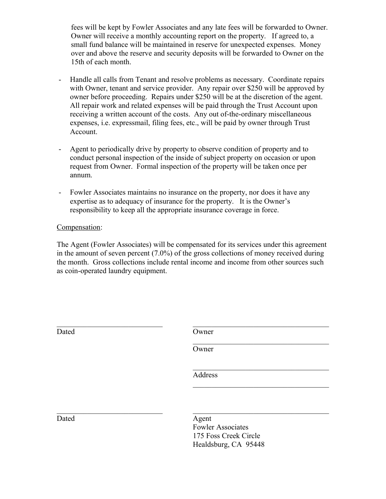fees will be kept by Fowler Associates and any late fees will be forwarded to Owner. Owner will receive a monthly accounting report on the property. If agreed to, a small fund balance will be maintained in reserve for unexpected expenses. Money over and above the reserve and security deposits will be forwarded to Owner on the 15th of each month.

- Handle all calls from Tenant and resolve problems as necessary. Coordinate repairs with Owner, tenant and service provider. Any repair over \$250 will be approved by owner before proceeding. Repairs under \$250 will be at the discretion of the agent. All repair work and related expenses will be paid through the Trust Account upon receiving a written account of the costs. Any out of-the-ordinary miscellaneous expenses, i.e. expressmail, filing fees, etc., will be paid by owner through Trust Account.
- Agent to periodically drive by property to observe condition of property and to conduct personal inspection of the inside of subject property on occasion or upon request from Owner. Formal inspection of the property will be taken once per annum.
- Fowler Associates maintains no insurance on the property, nor does it have any expertise as to adequacy of insurance for the property. It is the Owner's responsibility to keep all the appropriate insurance coverage in force.

# Compensation:

The Agent (Fowler Associates) will be compensated for its services under this agreement in the amount of seven percent (7.0%) of the gross collections of money received during the month. Gross collections include rental income and income from other sources such as coin-operated laundry equipment.

| Dated | Owner                             |
|-------|-----------------------------------|
|       | Owner                             |
|       | Address                           |
|       |                                   |
| Dated | Agent<br><b>Fowler Associates</b> |
|       | 175 Foss Creek Circle             |

Healdsburg, CA 95448